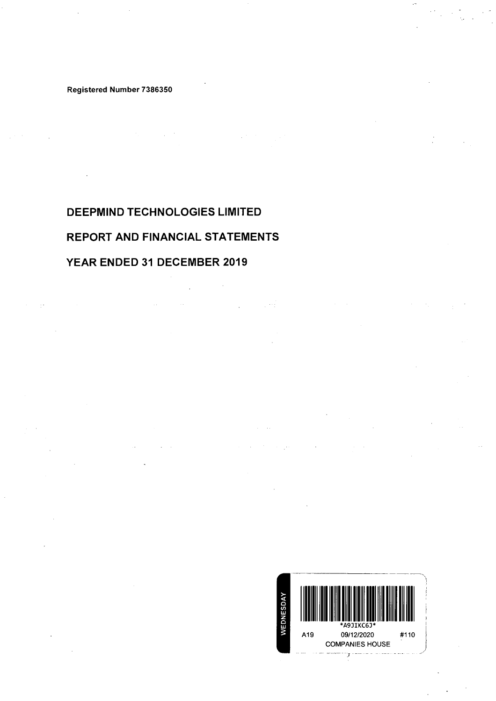### Registered Number 7386350

# DEEPMIND TECHNOLOGIES LIMITED

# REPORT AND FINANCIAL STATEMENTS

# YEAR ENDED 31 DECEMBER 2019

 $\mathcal{L}^{(1,1)}$ 

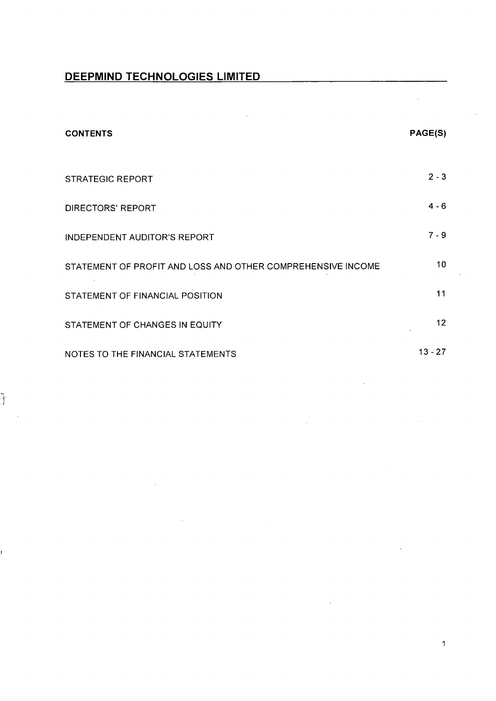# <u>DEEPMIND TECHNOLOGIES LIMITED</u>

 $\sim 10^7$ 

 $\bar{\mathcal{A}}$ 

 $\sim 10^6$ 

 $\frac{1}{\sqrt{2}}$ 

| <b>CONTENTS</b>                                             | PAGE(S)         |
|-------------------------------------------------------------|-----------------|
| <b>STRATEGIC REPORT</b>                                     | $2 - 3$         |
| <b>DIRECTORS' REPORT</b>                                    | $4 - 6$         |
| <b>INDEPENDENT AUDITOR'S REPORT</b>                         | $7 - 9$         |
| STATEMENT OF PROFIT AND LOSS AND OTHER COMPREHENSIVE INCOME | 10              |
| STATEMENT OF FINANCIAL POSITION                             | 11              |
| STATEMENT OF CHANGES IN EQUITY                              | 12 <sup>2</sup> |
| NOTES TO THE FINANCIAL STATEMENTS                           | $13 - 27$       |

 $\frac{1}{2}$ 

 $\bar{\alpha}$ 

 $\mathcal{L}_{\mathcal{A}}$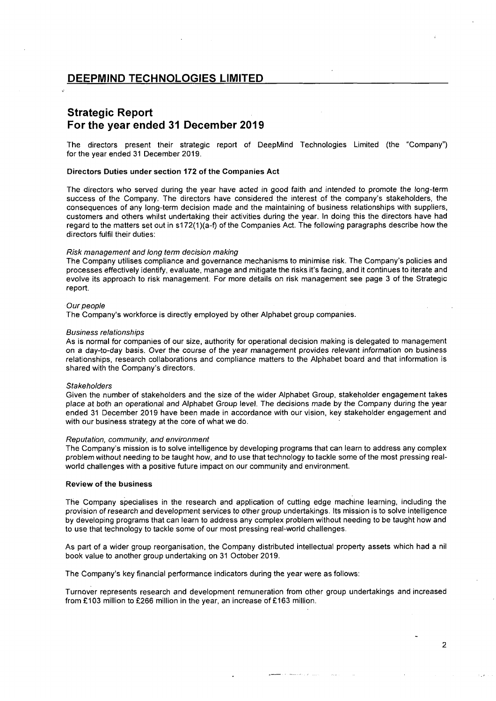### Strategic Report For the year ended 31 December 2019

The directors present their strategic report of DeepMind Technologies Limited (the "Company") for the year ended 31 December 2019.

### Directors Duties under section 172 of the Companies Act

The directors who served during the year have acted in good faith and intended to promote the long-term success of the Company. The directors have considered the interest of the company's stakeholders, the consequences of any long-term decision made and the maintaining of business relationships with suppliers, customers and others whilst undertaking their activities during the year. In doing this the directors have had regard to the matters set out in s172(1)(a-f) of the Companies Act. The following paragraphs describe how the directors fulfil their duties:

#### Risk management and long term decision making

The Company utilises compliance and governance mechanisms to minimise risk. The Company's policies and processes effectively identify, evaluate, manage and mitigate the risks it's facing, and it continues to iterate and evolve its approach to risk management. For more details on risk management see page 3 of the Strategic report.

### Our people

The Company's workforce is directly employed by other Alphabet group companies.

#### **Business relationships**

As is normal for companies of our size, authority for operational decision making is delegated to management on a day-to-day basis. Over the course of the year management provides relevant information on business relationships, research collaborations and compliance matters to the Alphabet board and that information is shared with the Company's directors.

#### **Stakeholders**

Given the number of stakeholders and the size of the wider Alphabet Group, stakeholder engagement takes place at both an operational and Alphabet Group level. The decisions made by the Company during the year ended <sup>31</sup> December 2019 have been made in accordance with our vision, key stakeholder engagement and with our business strategy at the core of what we do.

#### Reputation, community, and environment

The Company's mission is to solve intelligence by developing programs that can learn to address any complex problem without needing to be taught how, and to use that technology to tackle some of the most pressing realworld challenges with a positive future impact on our community and environment.

### Review of the business

The Company specialises in the research and application of cutting edge machine learning, including the provision of research and development services to other group undertakings. Its mission is to solve intelligence by developing programsthat can learn to address any complex problem without needing to be taught how and to use that technology to tackle some of our most pressing real-world challenges.

As part of a wider group reorganisation, the Company distributed intellectual property assets which had a nil book value to another group undertaking on 31 October 2019.

The Company's key financial performance indicators during the year were as follows:

Turnover represents research and development remuneration from other group undertakings and increased from £103 million to £266 million in the year, an increase of £163 million.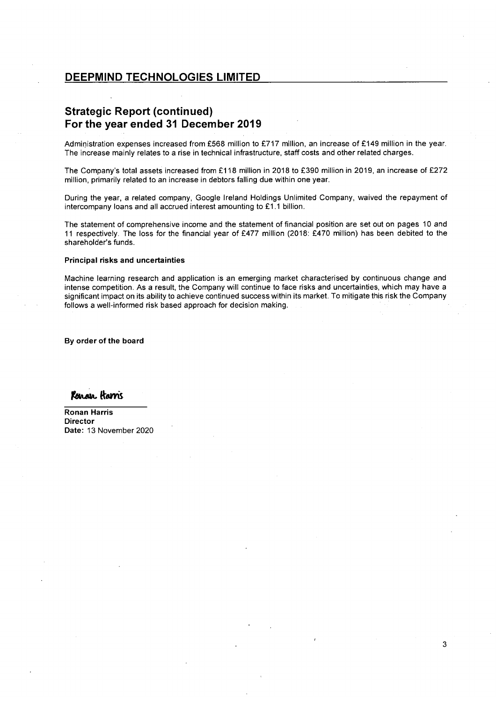### Strategic Report (continued) For the year ended 31 December 2019

Administration expenses increased from £568 million to £717 million, an increase of £149 million in the year. The increase mainly relates to a rise in technical infrastructure, staff costs and other related charges.

The Company's total assets increased from £118 million in 2018 to £390 million in 2019, an increase of £272 million, primarily related to an increase in debtors falling due within one year.

During the year, a related company, Google Ireland Holdings Unlimited Company, waived the repayment of intercompany loans and all accrued interest amounting to £1.1 billion.

The statement of comprehensive income and the statement of financial position are set out on pages 10 and 11 respectively. The loss for the financial year of £477 million (2018: £470 million) has been debited to the shareholder's funds.

### Principal risks and uncertainties

Machine learning research and application is an emerging market characterised by continuous change and intense competition. As a result, the Companywill continue to face risks and uncertainties, which may have a significant impact on its ability to achieve continued success within its market. To mitigate this risk the Company follows a well-informed risk based approach for decision making.

3

By order of the board

Ronan. Karns

Ronan Harris Director Date: 13 November 2020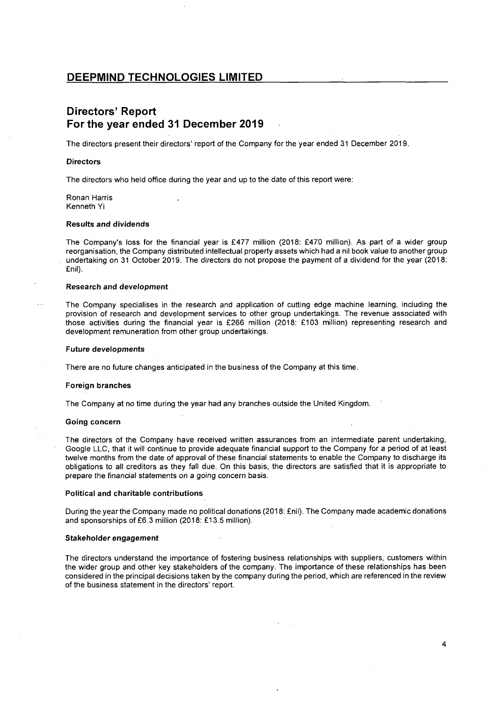### Directors' Report For the year ended 31 December 2019

The directors present their directors' report of the Company for the year ended 31 December 2019.

### **Directors**

The directors who held office during the year and up to the date of this report were:

Ronan Harris . Kenneth Yi

#### Results and dividends

The Company's loss for the financial year is £477 million (2018: £470 million). As part of a wider group reorganisation, the Company distributed intellectual property assets which had a nil book value to another group . undertaking on 31 October 2019. The directors do not propose the payment of a dividend for the year (2018: Enil).

#### Research and development

The Company specialises in the research and application of cutting edge machine learning, including the provision of research and development services to other group undertakings. The revenue associated with those activities during the financial year is £266 million (2018: £103 million) representing research and development remuneration from other group undertakings.

#### Future developments

There are no future changes anticipated in the business of the Company at this time.

#### Foreign branches

The Companyat no time during the year had any branches outside the United Kingdom.

#### Going concern

The directors of the Company have received written assurances from an intermediate parent undertaking, Google LLC, that it will continue to provide adequate financial support to the Company for a period of at least twelve months from the date of approval of these financial statements to enable the Company to discharge its obligations to all creditors as they fall due. On this basis, the directors are satisfied that it is appropriate to prepare the financial statements on a going concern basis.

### Political and charitable contributions

During the year the Company made no political donations (2018: £nil). The Company made academic donations and sponsorships of £6.3 million (2018: £13.5 million).

#### Stakeholder engagement

The directors understand the importance of fostering business relationships with suppliers, customers within the wider group and other key stakeholders of the company. The importance of these relationships has been consideredin the principal decisions taken by the company during the period, which are referencedin the review of the business statement in the directors' report.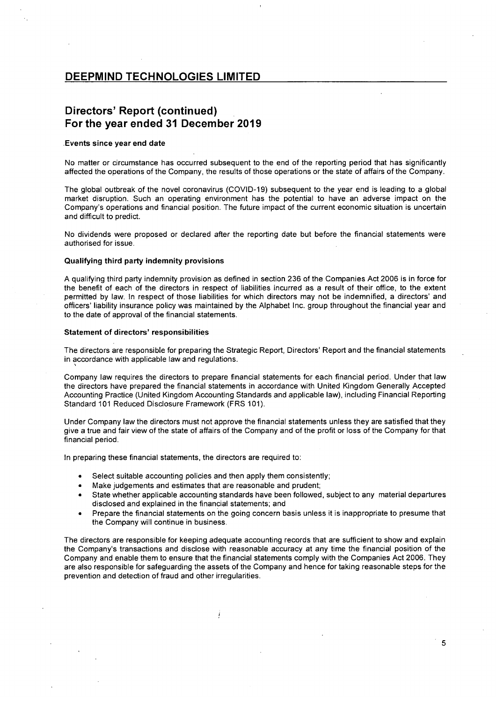### Directors' Report (continued) <sup>|</sup> For the year ended 31 December 2019

### Events since year end date

No matter or circumstance has occurred subsequent to the end of the reporting period that has significantly affected the operations of the Company, the results of those operations or the state of affairs of the Company.

The global outbreak of the novel coronavirus (COVID-19) subsequent to the year end is leading to a global market disruption. Such an operating environment has the potential to have an adverse impact on the Company's operations and financial position. The future impact of the current economic situation is uncertain and difficult to predict.

No dividends were proposed or declared after the reporting date but before the financial statements were authorised for issue.

### Qualifying third party indemnity provisions

A qualifying third party indemnity provision as defined in section 236 of the Companies Act 2006is in force for the benefit of each of the directors in respect of liabilities incurred as a result of their office, to the extent permitted by law. In respect of those liabilities for which directors may not be indemnified, a directors' and officers' liability insurance policy was maintained by the Alphabet Inc. group throughout the financial year and to the date of approval of the financial statements.

### Statement of directors' responsibilities

The directors are responsible for preparing the Strategic Report, Directors' Report and the financial statements in accordance with applicable law and regulations.

Company law requires the directors to prepare financial statements for each financial period. Under that law the directors have prepared the financial statements in accordance with United Kingdom Generally Accepted Accounting Practice (United Kingdom Accounting Standards and applicable law), including Financial Reporting Standard 101 Reduced Disclosure Framework (FRS 101).

Under Company law the directors must not approve the financial statements unless they are satisfied that they give a true and fair view of the state of affairs of the Company and ofthe profit or loss of the Companyforthat financial period.

In preparing these financial statements, the directors are required to:

- Select suitable accounting policies and then apply them consistently;
- Make judgements and estimates that are reasonable and prudent;
- State whether applicable accounting standards have been followed, subject to any material departures disclosed and explained in the financial statements; and
- Prepare the financial statements on the going concern basis unless it is inappropriate to presume that the Company will continue in business.

The directors are responsible for keeping adequate accounting records that are sufficient to show and explain the Company's transactions and disclose with reasonable accuracy at any time the financial position of the Company and enable them to ensure that the financial statements comply with the Companies Act 2006. They are also responsible for safeguarding the assets of the Company and hence for taking reasonable steps for the prevention and detection of fraud and other irregularities.

5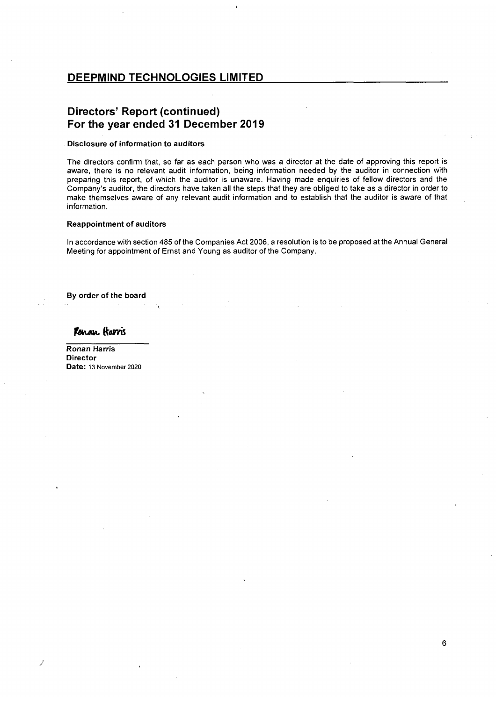## Directors' Report (continued) For the year ended 31 December 2019

### \_Disclosure of information to auditors

The directors confirm that, so far as each person who was a director at the date of approving this report is aware, there is no relevant audit information, being information needed by the auditor in connection with preparing this report, of which the auditor is unaware. Having made enquiries of fellow directors and the Company's auditor, the directors have taken all the steps that they are obliged to take as a director in order to make themselves aware of any relevant audit information and to establish that the auditor is aware of that information.

### **Reappointment of auditors**

In accordance with section 485 of the Companies Act 2006, a resolution is to be proposed at the Annual General Meeting for appointment of Ernst and Young as auditor of the Company.

By order of the board

### Ronan Harris

Ronan Harris Director Date: 13 November 2020

J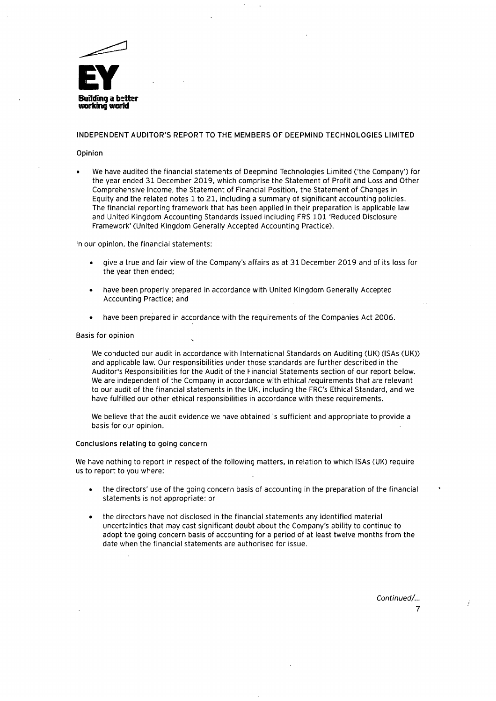

### INDEPENDENT AUDITOR'S REPORT TO THE MEMBERS OF DEEPMIND TECHNOLOGIESLIMITED

#### Opinion

We have audited the financial statements of Deepmind Technologies Limited ('the Company') for the year ended 31 December 2019, which comprise the Statement of Profit and Loss and Other Comprehensive Income, the Statement of Financial Position, the Statement of Changesin Equity and the related notes 1 to 21, including <sup>a</sup> summaryof significant accounting policies. The financial reporting framework that has been applied in their preparation is applicable law and United Kingdom Accounting Standards issued including FRS 101 'Reduced Disclosure Framework' (United Kingdom Generally Accepted Accounting Practice).

In our opinion, the financial statements:

- <sup>e</sup> give <sup>a</sup> true and fair view of the Company's affairs as at 31 December 2019 and ofits loss for the year then ended;
- have been properly prepared in accordance with United Kingdom Generally Accepted Accounting Practice; and
- have been prepared in accordance with the requirements of the Companies Act 2006.

NS

#### Basis for opinion

We conducted our audit in accordance with International Standards on Auditing (UK) (ISAs (UK)) and applicable law. Our responsibilities under those standards are further described in the Auditor's Responsibilities for the Audit of the Financial Statements section of our report below. We are independent of the Company in accordance with ethical requirements that are relevant to our audit of the financial statements in the UK, including the FRC's Ethical Standard, and we have fulfilled our other ethical responsibilities in accordance with these requirements.

We believe that the audit evidence we have obtained is sufficient and appropriate to provide a basis for our opinion. .

#### Conclusions relating to going concern

We have nothing to report in respect of the following matters, in relation to which ISAs (UK) require us to report to you where:

- e the directors' use of the going concern basis of accounting in the preparation of the financial statements is not appropriate: or
- the directors have not disclosed in the financial statements any identified material uncertainties that may cast significant doubt about the Company's ability to continue to adopt the going concern basis of accounting for a period of at least twelve months from the date when the financial statements are authorised for issue.

.../Continued<br>7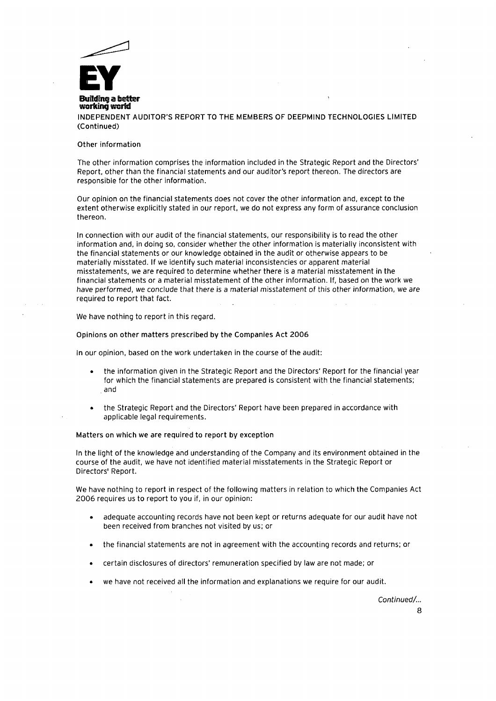

INDEPENDENT AUDITOR'S REPORT TO THE MEMBERS OF DEEPMIND TECHNOLOGIES LIMITED (Continued)

Other information

The other information comprises the information included in the Strategic Report and the Directors' Report, other than the financial statements and our auditor's report thereon. The directors are responsible for the other information.

Our opinion on the financial statements does not cover the other information and, except to the extent otherwise explicitly stated in our report, we do not express any form of assurance conclusion thereon.

In connection with our audit of the financial statements, our responsibility is to read the other information and, in doing so, consider whether the other information is materially inconsistent with the financial statements or our knowledge obtained in the audit or otherwise appears to be materially misstated. If we identify such material inconsistencies or apparent material misstatements, we are required to determine whether there is a material misstatement in the financial statements or a material misstatement of the other information. If, based on the work we have performed, we conclude that there is a material misstatement of this other information, we are required to report that fact.

We have nothing to report in this regard.

### Opinions on other matters prescribed by the Companies Act 2006

In our opinion, based on the work undertaken in the course of the audit:

- the information given in the Strategic Report and the Directors' Report for the financial year for which the financial statements are prepared is consistent with the financial statements; \_and
- e the Strategic Report and the Directors' Report have been prepared in accordance with applicable legal requirements.

#### Matters on which we are required to report by exception

In the light of the knowledge and understanding of the Companyand its environment obtained in the course of the audit, we have not identified material misstatements in the Strategic Report or Directors' Report.

We have nothing to report in respect of the following matters in relation to which the Companies Act 2006 requires us to report to you if, in our opinion:

- e adequate accounting records have not been kept or returns adequate for our audit have not been received from branches not visited by us; or
- <sup>e</sup> the financial statements are not in agreement with the accounting records and returns; or
- <sup>e</sup> certain disclosures of directors' remuneration specified by law are not made; or
- we have not received all the information and explanations we require for our audit.

Continued/...

8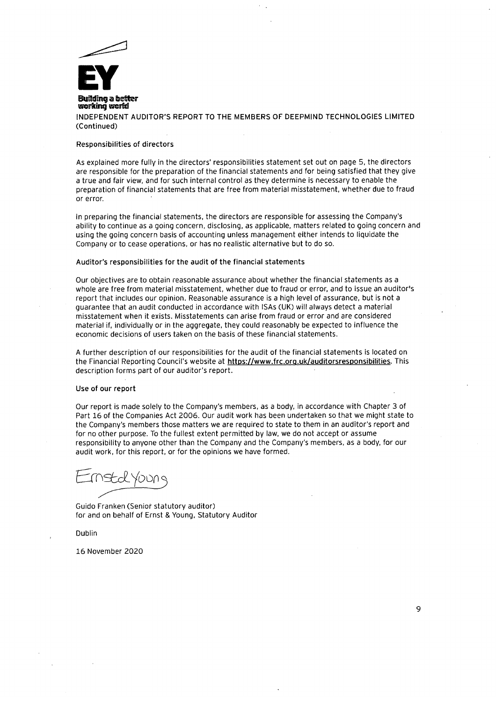

INDEPENDENT AUDITOR'S REPORT TO THE MEMBERSOF DEEPMIND TECHNOLOGIES LIMITED (Continued)

### Responsibilities of directors

As explained more fully in the directors' responsibilities statement set out on page 5, the directors are responsible for the preparation of the financial statements and for being satisfied that they give a true and fair view, and for such internal control as they determine is necessary to enable the preparation of financial statements that are free from material misstatement, whether due to fraud or error.

In preparing the financial statements, the directors are responsible for assessing the Company's ability to continue as a going concern, disclosing, as applicable, matters related to going concern and using the going concern basis of accounting unless management either intends to liquidate the Company or to cease operations, or has no realistic alternative but to do so.

#### Auditor's responsibilities for the audit of the financial statements

Our objectives are to obtain reasonable assurance about whether the financial statements as a whole are free from material misstatement, whether due to fraud or error, and to issue an auditor's report that includes our opinion. Reasonable assurance is a high level of assurance, but is not a guarantee that an audit conducted in accordance with ISAs (UK) will always detect a material misstatement when it exists. Misstatements can arise from fraud or error and are considered material if, individually or in the aggregate, they could reasonably be expected to influence the economic decisions of users taken on the basis of these financial statements.

A further description of our responsibilities for the audit of the financial statements is located on the Financial Reporting Council's website at https://www.frc.org.uk/auditorsresponsibilities. This description forms part of our auditor's report.

#### Use of our report

Our report is madesolely to the Company's members, as a body, in accordance with Chapter 3 of Part 16 of the Companies Act 2006. Our audit work has been undertaken so that we might state to the Company's members those matters we are required to state to them in an auditor's report and for no other purpose. To the fullest extent permitted by law, we do not accept or assume responsibility to anyone other than the Company and the Company's members, as a body, for our audit work, for this report, or for the opinions we have formed.

Famstelyoons

Guido Franken (Senior statutory auditor) for and on behalf of Ernst & Young, Statutory Auditor

Dublin

16 November 2020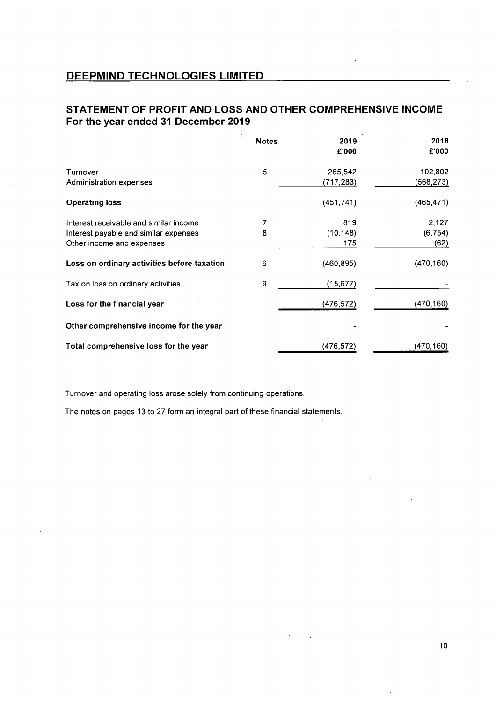# STATEMENT OF PROFIT AND LOSS AND OTHER COMPREHENSIVE INCOME For the year ended 31 December 2019

| DEEPMIND TECHNOLOGIES LIMITED                                                                      |              |            |            |
|----------------------------------------------------------------------------------------------------|--------------|------------|------------|
|                                                                                                    |              |            |            |
| STATEMENT OF PROFIT AND LOSS AND OTHER COMPREHENSIVE INCOME<br>For the year ended 31 December 2019 |              |            |            |
|                                                                                                    |              |            |            |
|                                                                                                    | <b>Notes</b> | 2019       | 2018       |
|                                                                                                    |              | £'000      | £'000      |
| Turnover                                                                                           | 5            | 265,542    | 102,802    |
| Administration expenses                                                                            |              | (717, 283) | (568, 273) |
| <b>Operating loss</b>                                                                              |              | (451, 741) | (465, 471) |
| Interest receivable and similar income                                                             | 7            | 819        | 2,127      |
| Interest payable and similar expenses                                                              | 8            | (10, 148)  | (6, 754)   |
| Other income and expenses                                                                          |              | 175        | (62)       |
| Loss on ordinary activities before taxation                                                        | 6            | (460, 895) | (470, 160) |
| Tax on loss on ordinary activities                                                                 | 9            | (15, 677)  |            |
| Loss for the financial year                                                                        |              | (476, 572) | (470, 160) |
| Other comprehensive income for the year                                                            |              |            |            |

Turnover and operating loss arose solely from continuing operations.

The notes on pages 13 to 27 form an integral part of these financial statements.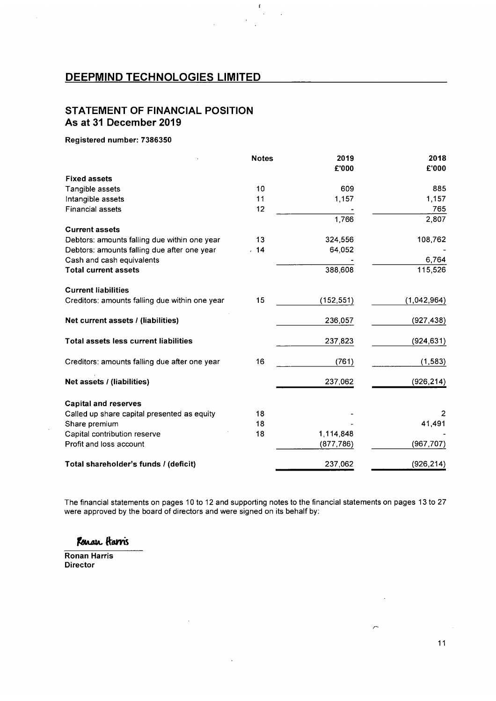# STATEMENT OF FINANCIAL POSITION As at 31 December 2019

### Registered number: 7386350

|                                                                       | ť            |               |               |
|-----------------------------------------------------------------------|--------------|---------------|---------------|
|                                                                       |              |               |               |
|                                                                       |              |               |               |
|                                                                       |              |               |               |
|                                                                       |              |               |               |
|                                                                       |              |               |               |
|                                                                       |              |               |               |
|                                                                       |              |               |               |
| DEEPMIND TECHNOLOGIES LIMITED                                         |              |               |               |
| <b>STATEMENT OF FINANCIAL POSITION</b>                                |              |               |               |
| As at 31 December 2019                                                |              |               |               |
| Registered number: 7386350                                            |              |               |               |
|                                                                       | <b>Notes</b> | 2019<br>£'000 | 2018<br>£'000 |
| <b>Fixed assets</b>                                                   |              |               |               |
| Tangible assets<br>Intangible assets                                  | 10<br>11     | 609<br>1,157  | 885<br>1,157  |
| <b>Financial assets</b>                                               | 12           |               | 765           |
|                                                                       |              | 1,766         | 2,807         |
| <b>Current assets</b><br>Debtors: amounts falling due within one year | 13           | 324,556       | 108,762       |
| Debtors: amounts falling due after one year                           | .14          | 64,052        |               |
| Cash and cash equivalents                                             |              |               | 6,764         |
| <b>Total current assets</b>                                           |              | 388,608       | 115,526       |
| <b>Current liabilities</b>                                            |              |               |               |
| Creditors: amounts falling due within one year                        | 15           | (152, 551)    | (1,042,964)   |
| Net current assets / (liabilities)                                    |              | 236,057       | (927, 438)    |
| <b>Total assets less current liabilities</b>                          |              | 237,823       | (924, 631)    |
| Creditors: amounts falling due after one year                         | 16           | (761)         | (1, 583)      |
| Net assets / (liabilities)                                            |              | 237,062       | (926, 214)    |
|                                                                       |              |               |               |
| <b>Capital and reserves</b>                                           |              |               |               |
| Called up share capital presented as equity<br>Share premium          | 18<br>18     |               | 2<br>41,491   |
| Capital contribution reserve                                          | 18           | 1,114,848     |               |
| Profit and loss account                                               |              | (877,786)     | (967, 707)    |
|                                                                       |              | 237,062       | (926, 214)    |
| Total shareholder's funds / (deficit)                                 |              |               |               |

The financial statements on pages <sup>10</sup> to <sup>12</sup> and supporting notes to the financial statements on pages <sup>13</sup> to <sup>27</sup> were approved by the board of directors and were signed on its behalf by:

J.

Ronan. Kaynis

Ronan Harris Director

 $\overline{a}$ 

 $\sim$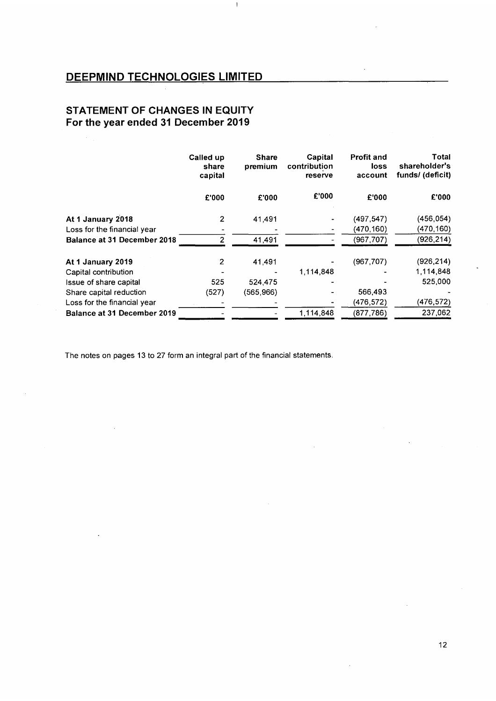# STATEMENT OF CHANGES IN EQUITY For the year ended 31 December 2019

| $\mathbf{I}$                                                                                           |                  |
|--------------------------------------------------------------------------------------------------------|------------------|
|                                                                                                        |                  |
|                                                                                                        |                  |
|                                                                                                        |                  |
|                                                                                                        |                  |
|                                                                                                        |                  |
| DEEPMIND TECHNOLOGIES LIMITED                                                                          |                  |
|                                                                                                        |                  |
| STATEMENT OF CHANGES IN EQUITY                                                                         |                  |
| For the year ended 31 December 2019                                                                    |                  |
|                                                                                                        |                  |
| Called up<br><b>Share</b><br>Capital<br><b>Profit and</b>                                              | Total            |
| share<br>premium<br>contribution<br>loss                                                               | shareholder's    |
| capital<br>reserve<br>account                                                                          | funds/ (deficit) |
| £'000<br>£'000<br>£'000<br>£'000                                                                       | £'000            |
|                                                                                                        |                  |
| 41,491<br>(497, 547)<br>At 1 January 2018<br>$\mathbf 2$                                               | (456, 054)       |
| Loss for the financial year<br>(470, 160)                                                              | (470, 160)       |
| $\overline{2}$<br><b>Balance at 31 December 2018</b><br>41,491<br>(967, 707)                           | (926, 214)       |
| $\mathbf{2}$<br>(967, 707)<br>At 1 January 2019<br>41,491                                              | (926, 214)       |
| 1,114,848<br>Capital contribution                                                                      | 1,114,848        |
| Issue of share capital<br>525<br>524,475                                                               | 525,000          |
| 566,493<br>Share capital reduction<br>(527)<br>(565, 966)<br>Loss for the financial year<br>(476, 572) | (476, 572)       |

The notes on pages 13 to 27 form an integral part of the financial statements.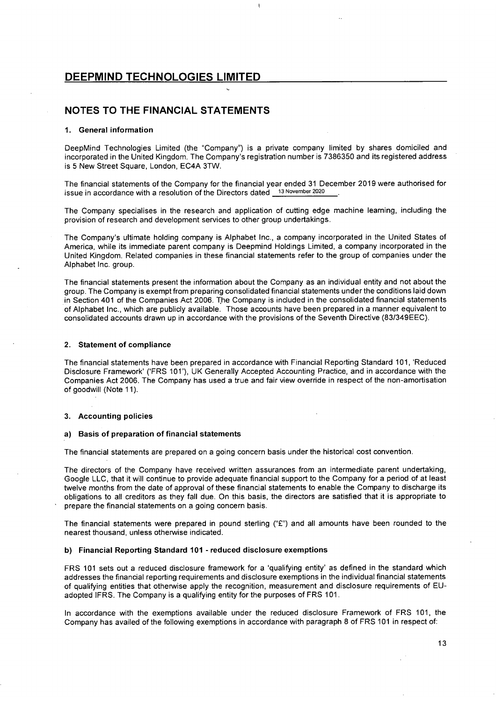### NOTES TO THE FINANCIAL STATEMENTS

### 1. General information

DeepMind Technologies Limited (the "Company") is a private company limited by shares domiciled and incorporated in the United Kingdom. The Company's registration number is 7386350 and its registered address is 5 New Street Square, London, EC4A 3TW.

The financial statements of the Company for the financial year ended 31 December 2019 were authorised for issue in accordance with a resolution of the Directors dated \_\_ 13 November 2020

The Company specialises in the research and application of cutting edge machine learning, including the provision of research and development services to other group undertakings.

The Company's ultimate holding company is Alphabet Inc., a company incorporated in the United States of America, while its immediate parent company is Deepmind Holdings Limited, a company incorporated in the United Kingdom. Related companies in these financial statements refer to the group of companies under the Alphabet Inc. group.

The financial statements present the information about the Companyas an individual entity and not about the group. The Company is exempt from preparing consolidated financial statements under the conditions laid down in Section 401 of the Companies Act 2006. The Company is included in the consolidated financial statements of Alphabet Inc., which are publicly available. Those accounts have been prepared in a manner equivalent to consolidated accounts drawn up in accordance with the provisions of the Seventh Directive (83/349EEC).

### 2. Statement of compliance

The financial statements have been prepared in accordance with Financial Reporting Standard 101, 'Reduced The infancial statements have been prepared in accordance with mancial Reporting Standard To I, Reduced<br>Disclosure Framework' ('FRS 101'), UK Generally Accepted Accounting Practice, and in accordance with the<br>Companies Act of goodwill (Note 11).

### 3. Accounting policies

#### a) Basis of preparation of financial statements

The financial statements are prepared on a going concern basis under the historical cost convention.

The directors of the Company have received written assurances from an intermediate parent undertaking, Google LLC, thatit will continue to provide adequate financial support to the Companyfor <sup>a</sup> period of at least twelve months from the date of approval of these financial statements to enable the Company to discharge its obligations to all creditors as they fall due. On this basis, the directors are satisfied that it is appropriate to prepare the financial statements on a going concern basis.

The financial statements were prepared in pound sterling ("£") and all amounts have been rounded to the nearest thousand, unless otherwise indicated.

### b) Financial Reporting Standard 101 - reduced disclosure exemptions

FRS 101 sets out a reduced disclosure framework for a 'qualifying entity' as defined in the standard which addresses the financial reporting requirements and disclosure exemptions in the individual financial statements of qualifying entities that otherwise apply the recognition, measurement and disclosure requirements of EUadopted IFRS. The Company is a qualifying entity for the purposes of FRS 101.

In accordance with the exemptions available under the reduced disclosure Framework of FRS 101, the Company has availed of the following exemptions in accordance with paragraph 8 of FRS 101 in respect of: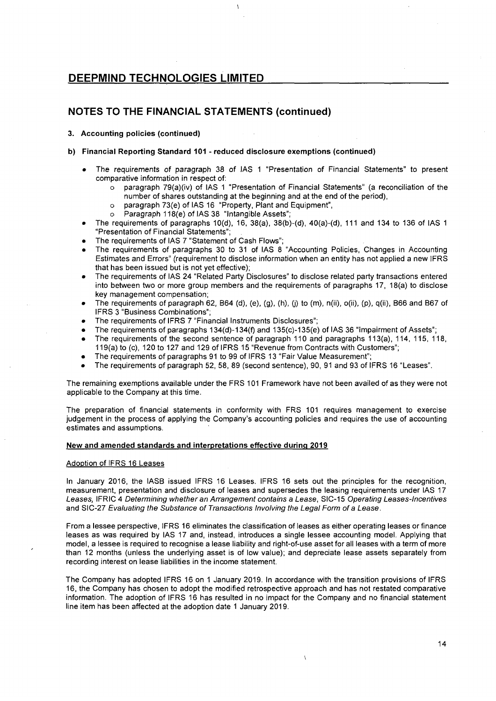### NOTES TO THE FINANCIAL STATEMENTS (continued)

### 3. Accounting policies (continued)

### b) Financial Reporting Standard 101 - reduced disclosure exemptions (continued)

- The requirements of paragraph 38 of IAS 1 "Presentation of Financial Statements" to present comparative information in respect of:
	- © paragraph 79(a)(iv) of IAS <sup>1</sup> "Presentation of Financial Statements" (a reconciliation of the number of shares outstanding at the beginning and at the end of the period),
	- paragraph 73(e) of IAS 16 "Property, Plant and Equipment",
	- o Paragraph 118(e) of IAS 38 "Intangible Assets';
- e The requirements of paragraphs 10(d), 16, 38(a), 38(b)-(d), 40(a)-(d), 111 and 134 to 136 of IAS <sup>1</sup> "Presentation of Financial Statements';
- The requirements of IAS 7 "Statement of Cash Flows";
- e The requirements of paragraphs 30 to 31 of IAS 8 "Accounting Policies, Changes in Accounting Estimates and Errors" (requirement to disclose information when an entity has not applied a new IFRS that has been issued but is not yet effective);
- e The requirements of IAS 24 "Related Party Disclosures" to disclose related party transactions entered into between two or more group members and the requirements of paragraphs 17, 18(a) to disclose key management compensation;
- The requirements of paragraph 62, B64 (d), (e), (g), (h), (j) to (m), n(ii), o(ii), (p), q(ii), B66 and B67 of IFRS 3 "Business Combinations';
- The requirements of IFRS 7 "Financial Instruments Disclosures";
- The requirements of paragraphs 134(d)-134(f) and 135(c)-135(e) of IAS 36 "Impairment of Assets";
- The requirements of the second sentence of paragraph 110 and paragraphs 113(a), 114, 115, 118, 119(a) to (c), 120 to 127 and 129 of IFRS 15 "Revenue from Contracts with Customers';
- The requirements of paragraphs 91 to 99 of IFRS 13 "Fair Value Measurement";
- e The requirements of paragraph 52, 58, 89 (second sentence), 90, 91 and 93 of IFRS 16 "Leases".

The remaining exemptions available under the FRS 101 Framework have not been availed of as they were not applicable to the Company at this time.

The preparation of financial statements in conformity with FRS 101 requires management to exercise judgement in the process of applying the Company's accounting policies and requires the use of accounting estimates and assumptions.

#### New and amended standards and interpretations effective during 2019

#### Adoption of IFRS 16 Leases

In January 2016, the IASB issued IFRS 16 Leases. IFRS 16 sets out the principles for the recognition, measurement, presentation and disclosure of leases and supersedes the leasing requirements under IAS 17 Leases, IFRIC 4 Determining whether an Arrangement contains a Lease, SIC-15 Operating Leases-Incentives and SIC-27 Evaluating the Substance of Transactions Involving the Legal Form of a Lease.

From a lessee perspective, IFRS 16 eliminates the classification of leases as either operating leases or finance leases as was required by IAS 17 and, instead, introduces a single lessee accounting model. Applying that model, a lessee is required to recognise a leaseliability and right-of-use assetfor all leases with a term of more than 12 months (unless the underlying asset is of low value); and depreciate lease assets separately from recording interest on lease liabilities in the income statement.

The Company has adopted IFRS 16 on <sup>1</sup> January 2019. In accordance with the transition provisions of IFRS 16, the Company has chosen to adopt the modified retrospective approach and has not restated comparative information. The adoption of IFRS 16 has resulted in no impact for the Company and no financial statement line item has been affected at the adoption date <sup>1</sup> January 2019.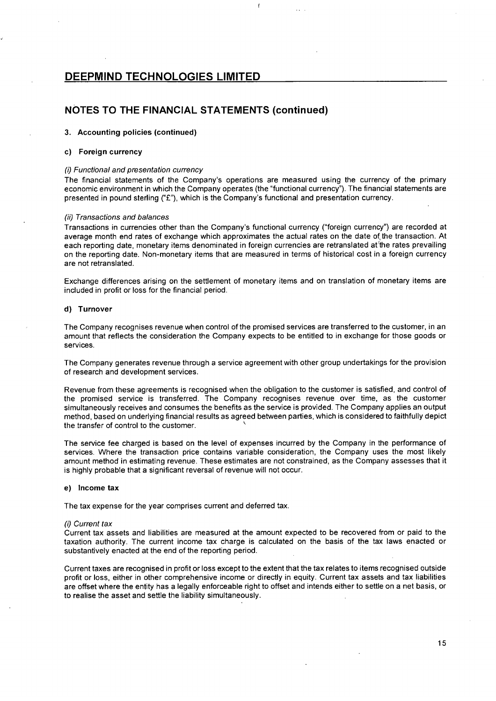### NOTES TO THE FINANCIAL STATEMENTS(continued)

### 3. Accounting policies (continued)

### c) Foreign currency

#### (i) Functional and presentation currency

The financial statements of the Company's operations are measured using the currency of the primary economic environment in which the Company operates (the "functional currency"). The financial statements are presented in pound sterling (" $E$ "), which is the Company's functional and presentation currency.

#### (ii) Transactions and balances

Transactions in currencies other than the Company's functional currency ("foreign currency") are recorded at average month end rates of exchange which approximates the actual rates on the date ofthe transaction. At each reporting date, monetary items denominated in foreign currencies are retranslated at the rates prevailing on the reporting date. Non-monetary items that are measured in terms of historical cost in a foreign currency are not retranslated.

Exchange differences arising on the settlement of monetary items and on translation of monetary items are includedin profit or loss for the financial period.

#### d) Turnover

The Company recognises revenue when control of the promised services are transferred to the customer, in an amount that reflects the consideration the Company expects to be entitled to in exchange for those goods or services.

The Company generates revenue through a service agreement with other group undertakings for the provision of research and development services.

Revenue from these agreements is recognised when the obligation to the customer is satisfied, and control of the promised service is transferred. The Company recognises revenue over time, as the customer simultaneously receives and consumes the benefits as the service is provided. The Company applies an output method, based on underlying financial results as agreed between parties, which is consideredto faithfully depict the transfer of control to the customer.

The service fee charged is based on the level of expenses incurred by the Company in the performance of services. Where the transaction price contains variable consideration, the Company uses the most likely amount method in estimating revenue. These estimates are not constrained, as the Company assesses that it is highly probable that a significant reversal of revenue will not occur.

#### e) Income tax

The tax expense for the year comprises current and deferred tax.

#### (i) Current tax

Current tax assets and liabilities are measured at the amount expected to be recovered from or paid to the taxation authority. The current income tax charge is calculated on the basis of the tax laws enacted or substantively enacted at the end of the reporting period.

Current taxes are recognisedin profit or loss except to the extent that the tax relates to items recognised outside profit or loss, either in other comprehensive income or directly in equity. Current tax assets and tax liabilities are offset where the entity has a legally enforceable right to offset and intends either to settle on a net basis, or to realise the asset and settle the liability simultaneously.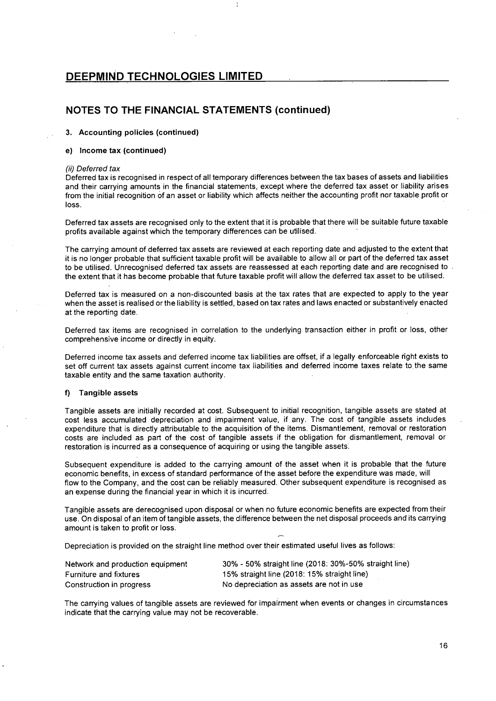### NOTES TO THE FINANCIAL STATEMENTS(continued)

### 3. Accounting policies (continued)

### e) Income tax (continued)

### (ii) Deferred tax

Deferred tax is recognised in respect of all temporary differences between the tax bases of assets and liabilities and their carrying amounts in the financial statements, except where the deferred tax asset or liability arises from the initial recognition of an asset or liability which affects neither the accounting profit nor taxable profit or loss. ,

Deferred tax assets are recognised only to the extent that it is probable that there will be suitable future taxable profits available against which the temporary differences can be utilised.

The carrying amount of deferred tax assets are reviewed at each reporting date and adjusted to the extent that it is no Jonger probable that sufficient taxable profit will be available to allow all or part of the deferred tax asset to be utilised. Unrecognised deferred tax assets are reassessed at each reporting date and are recognised to . the extent that it has become probable that future taxable profit will allow the deferred tax asset to be utilised.

Deferred tax is measured on a non-discounted basis at the tax rates that are expected to apply to the year when the assetis realised or the liability is settled, based on tax rates and laws enacted or substantively enacted at the reporting date.

Deferred tax items are recognised in correlation to the underlying transaction either in profit or loss, other comprehensive income or directly in equity.

Deferred income tax assets and deferred income tax liabilities are offset, if a legally enforceable right exists to set off current tax assets against current income tax liabilities and deferred income taxes relate to the same taxable entity and the same taxation authority. .

### f) Tangible assets

Tangible assets are initially recorded at cost. Subsequent to initial recognition, tangible assets are stated at cost less accumulated depreciation and impairment value, if any. The cost of tangible assets includes expenditure that is directly attributable to the acquisition of the items. Dismantlement, removal or restoration costs are included as part of the cost of tangible assets if the obligation for dismantlement, removal or restoration is incurred as a consequence of acquiring or using the tangible assets.

Subsequent expenditure is added to the carrying amount of the asset when it is probable that the future economic benefits, in excess of standard performance of the asset before the expenditure was made, will flow to the Company, and the cost can be reliably measured. Other subsequent expenditure is recognised as an expense during the financial year in which it is incurred.

Tangible assets are derecognised upon disposal or when no future economic benefits are expected from their use. On disposal of an item of tangible assets, the difference between the net disposal proceeds and its carrying amount is taken to profit or loss.  $\overline{a}$ 

Depreciation is provided on the straight line method over their estimated useful lives as follows:

| Network and production equipment | 30% - 50% straight line (2018: 30%-50% straight line) |
|----------------------------------|-------------------------------------------------------|
| Furniture and fixtures           | 15% straight line (2018: 15% straight line)           |
| Construction in progress         | No depreciation as assets are not in use              |

The carrying values of tangible assets are reviewed for impairment when events or changes in circumstances indicate that the carrying value may not be recoverable.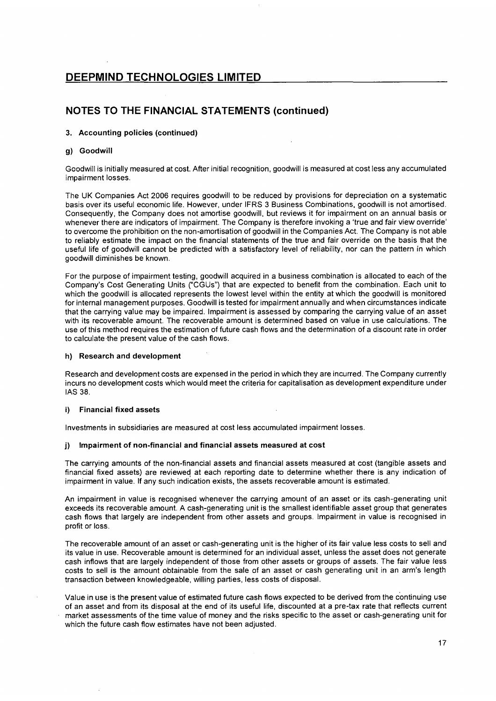### NOTES TO THE FINANCIAL STATEMENTS(continued)

### 3. Accounting policies (continued)

### g) Goodwill

Goodwill is initially measured at cost. Afterinitial recognition, goodwill is measured at cost less any accumulated impairment losses.

The UK Companies Act 2006 requires goodwill to be reduced by provisions for depreciation on a systematic basis over its useful economic life. However, under IFRS 3 Business Combinations, goodwill is not amortised. Consequently, the Company does not amortise goodwill, but reviews it for impairment on an annual basis or whenever there are indicators of impairment. The Company is therefore invoking a 'true and fair view override' to overcome the prohibition on the non-amortisation of goodwill in the Companies Act. The Company is not able to reliably estimate the impact on the financial statements of the true and fair override on the basis that the useful life of goodwill cannot be predicted with a satisfactory level of reliability, nor can the pattern in which goodwill diminishes be known.

For the purpose of impairment testing, goodwill acquired in a business combination is allocated to each of the Company's Cost Generating Units ("CGUs') that are expected to benefit from the combination. Each unit to which the goodwill is allocated represents the lowest level within the entity at which the goodwill is monitored for internal management purposes. Goodwill is tested for impairment annually and when circumstances indicate that the carrying value may be impaired. Impairment is assessed by comparing the carrying value of an asset with its recoverable amount. The recoverable amount is determined based on value in use calculations. The use of this method requires the estimation of future cash flows and the determination of a discount rate in order to calculate the present value of the cash flows.

### h) Research and development

Research and development costs are expensed in the period in which they are incurred. The Company currently incurs no development costs which would meet the criteria for capitalisation as development expenditure under IAS 38.

### i) Financial fixed assets

Investments in subsidiaries are measured at cost less accumulated impairment losses.

### j) Impairment of non-financial and financial assets measured at cost

The carrying amounts of the non-financial assets and financial assets measured at cost (tangible assets and financial fixed assets) are reviewed at each reporting date to determine whether there is any indication of impairment in value. If any such indication exists, the assets recoverable amount is estimated.

An impairment in value is recognised whenever the carrying amount of an asset or its cash-generating unit exceedsits recoverable amount. A cash-generating unit is the smallest identifiable asset group that generates cash flows that largely are independent from other assets and groups. Impairment in value is recognised in profit or loss.

The recoverable amount of an asset or cash-generating unit is the higher of its fair value less costs to sell and its value in use. Recoverable amount is determined for an individual asset, unless the asset does not generate cash inflows that are largely independent of those from other assets or groups of assets. The fair value less costs to sell is the amount obtainable from the sale of an asset or cash generating unit in an arm's length transaction between knowledgeable, willing parties, less costs of disposal.

Value in use is the present value of estimated future cash flows expected to be derived from the continuing use of an asset and from its disposal at the end ofits useful life, discounted at a pre-tax rate that reflects current market assessments of the time value of money and the risks specific to the asset or cash-generating unit for which the future cash flow estimates have not been adjusted.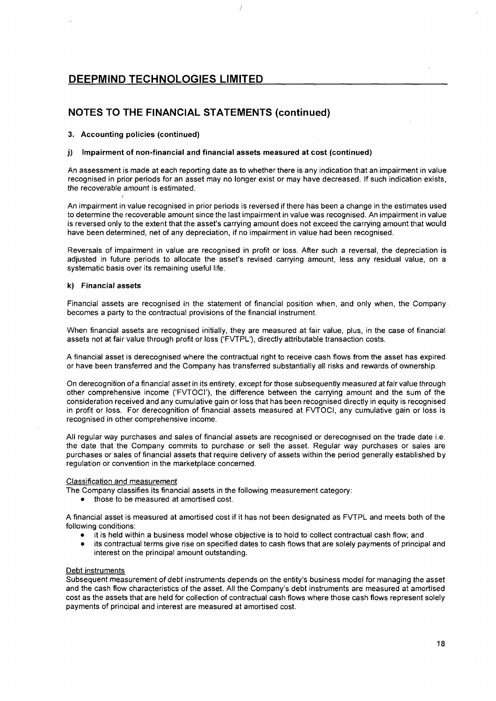### NOTES TO THE FINANCIAL STATEMENTS(continued)

### 3. Accounting policies (continued)

### j) Impairment of non-financial and financial assets measured at cost (continued)

An assessment is made at each reporting date as to whether there is any indication that an impairment in value recognisedin prior periods for an asset may no longer exist or may have decreased. If such indication exists, the recoverable amount is estimated.

An impairment in value recognised in prior periods is reversed if there has been a change in the estimates used to determine the recoverable amount since the last impairment in value was recognised. An impairment in value is reversed only to the extent that the asset's carrying amount does not exceed the carrying amount that would have been determined, net of any depreciation, if no impairment in value had been recognised.

Reversals of impairment in value are recognised in profit or loss. After such a reversal, the depreciation is adjusted in future periods to allocate the asset's revised carrying amount, less any residual value, on a systematic basis over its remaining useful life.

#### k) Financial assets

Financial assets are recognised in the statement of financial position when, and only when, the Company. becomesa party to the contractual provisions of the financial instrument.

When financial assets are recognised initially, they are measured at fair value, plus, in the case of financial assets not at fair value through profit or loss ('FVTPL'), directly attributable transaction costs.

A financial asset is derecognised where the contractual right to receive cash flows from the asset has expired or have been transferred and the Company has transferred substantially all risks and rewards of ownership.

On derecognition of a financial asset in its entirety, except for those subsequently measured at fair value through other comprehensive income ('FVTOCI'), the difference between the carrying amount and the sum of the consideration received and any cumulative gain or loss that has been recogniseddirectly in equity is recognised in profit or loss. For derecognition of financial assets measured at FVTOCI, any cumulative gain or loss is recognised in other comprehensive income.

All regular way purchases and sales of financial assets are recognised or derecognised on the trade date i.e. the date that the Company commits to purchase or sell the asset. Regular way purchases or sales are purchases or sales of financial assets that require delivery of assets within the period generally established by regulation or convention in the marketplace concerned.

### Classification and measurement

The Company classifies its financial assets in the following measurement category:

e those to be measured at amortised cost.

A financial asset is measured at amortised cost if it has not been designated as FVTPL and meets both of the following conditions:

- e itis held within a business model whose objective is to hold to collect contractual cash flow; and
- e its contractual terms give rise on specified dates to cash flows that are solely payments of principal and interest on the principal amount outstanding.

### Debt instruments

Subsequent measurement of debt instruments depends on the entity's business model for managing the asset and the cash flow characteristics of the asset. All the Company's debt instruments are measured at amortised cost as the assets that are held for collection of contractual cash flows where those cash flows represent solely payments of principal and interest are measured at amortised cost.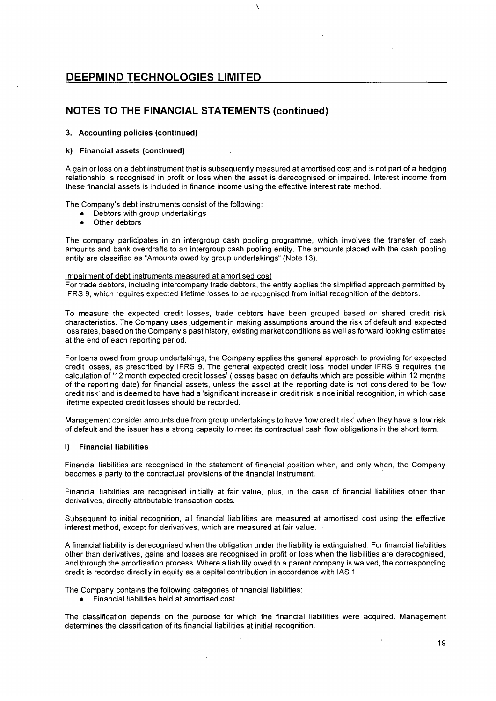### NOTES TO THE FINANCIAL STATEMENTS(continued)

### 3. Accounting policies (continued)

### k) Financial assets (continued)

A gain or loss on a debt instrument that is subsequently measured at amortised cost and is not part of a hedging relationship is recognised in profit or loss when the asset is derecognised or impaired. Interest income from these financial assets is included in finance income using the effective interest rate method.

 $\lambda$ 

The Company's debt instruments consist of the following:

- e Debtors with group undertakings
- Other debtors

The company participates in an intergroup cash pooling programme, which involves the transfer of cash amounts and bank overdrafts to an intergroup cash pooling entity. The amounts placed with the cash pooling entity are classified as "Amounts owed by group undertakings" (Note 13).

### Impairment of debt instruments measured at amortised cost

For trade debtors, including intercompanytrade debtors, the entity applies the simplified approach permitted by IFRS 9, which requires expected lifetime losses to be recognised from initial recognition of the debtors.

To measure the expected credit losses, trade debtors have been grouped based on shared credit risk characteristics. The Company uses judgement in making assumptions around the risk of default and expected loss rates, based on the Company's past history, existing market conditions as well as forward looking estimates at the end of each reporting period.

For loans owed from group undertakings, the Company applies the general approachto providing for expected credit losses, as prescribed by IFRS 9. The general expected credit loss model under IFRS 9 requires the calculation of '12 month expected credit losses' (losses based on defaults which are possible within 12 months of the reporting date) for financial assets, unless the asset at the reporting date is not considered to be 'low credit risk' and is deemed to have had 'significant increase in credit risk' since initial recognition, in which case lifetime expected credit losses should be recorded.

Management consider amounts due from group undertakings to have 'low credit risk' when they have a low risk of default and the issuer has a strong capacity to meetits contractual cash flow obligations in the short term.

### !) Financial liabilities

Financial liabilities are recognised in the statement of financial position when, and only when, the Company<br>becomes a party to the contractual provisions of the financial instrument.

Financial liabilities are recognised initially at fair value, plus, in the case of financial liabilities other than derivatives, directly attributable transaction costs.

Subsequent to initial recognition, all financial liabilities are measured at amortised cost using the effective interest method, except for derivatives, which are measured at fair value.

A financial liability is derecognised when the obligation under the liability is extinguished. For financial liabilities other than derivatives, gains and losses are recognisedin profit or loss when theliabilities are derecognised, and through the amortisation process. Where a liability owed to a parent company is waived, the corresponding credit is recorded directly in equity as a capital contribution in accordance with IAS 1.

The Company contains the following categories of financial liabilities:

e Financial liabilities held at amortised cost.

The classification depends on the purpose for which the financial liabilities were acquired. Management determines the classification of its financial liabilities at initial recognition.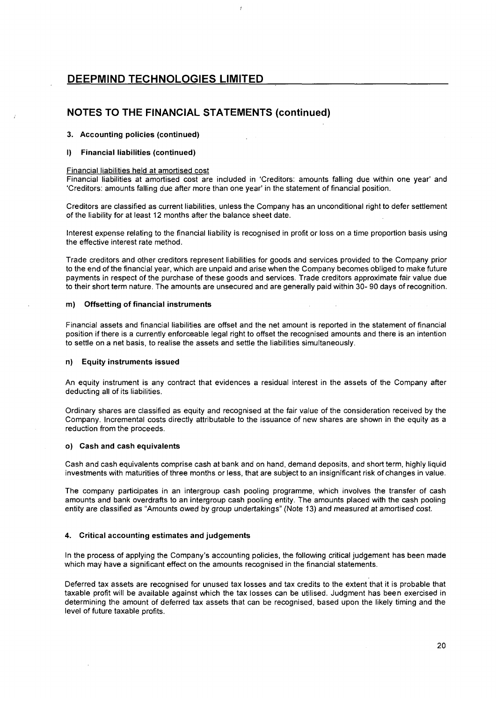### NOTES TO THE FINANCIAL STATEMENTS(continued)

### 3. Accounting policies (continued)

### 1) Financial liabilities (continued)

### Financialliabilities held at amortised cost

Financial liabilities at amortised cost are included in 'Creditors: amounts falling due within one year' and 'Creditors: amounts falling due after more than one year' in the statement of financial position.

Creditors are classified as current liabilities, unless the Company has an unconditional right to defer settlement of the liability for at least 12 months after the balance sheet date.

Interest expense relating to the financial liability is recognised in profit or loss on a time proportion basis using the effective interest rate method.

Trade creditors and other creditors represent liabilities for goods and services provided to the Company prior to the end of the financial year, which are unpaid and arise when the Company becomes obliged to make future payments in respect of the purchase of these goods and services. Trade creditors approximate fair value due to their short term nature. The amounts are unsecured and are generally paid within 30- 90 days of recognition.

### m) Offsetting of financial instruments

Financial assets and financial liabilities are offset and the net amount is reported in the statement of financial position if there is a currently enforceable legal right to offset the recognised amounts and there is an intention to settle on a net basis, to realise the assets and settle the liabilities simultaneously.

### n) Equity instruments issued

An equity instrument is any contract that evidences a residual interest in the assets of the Companyafter deducting all of its liabilities.

Ordinary shares are classified as equity and recognised at the fair value of the consideration received by the Company. Incremental costs directly attributable to the issuance of new shares are shownin the equity as <sup>a</sup> reduction from the proceeds.

#### 0) Cash and cash equivalents

Cash and cash equivalents comprise cash at bank and on hand, demand deposits, and short term, highly liquid investments with maturities of three months or less, that are subject to an insignificant risk of changes in value.

The company participates in an intergroup cash pooling programme, which involves the transfer of cash amounts and bank overdrafts to an intergroup cash pooling entity. The amounts placed with the cash pooling entity are classified as "Amounts owed by group undertakings" (Note 13) and measured at amortised cost.

### 4. Critical accounting estimates and judgements

In the process of applying the Company's accounting policies, the following critical judgement has been made which may have a significant effect on the amounts recognised in the financial statements.

Deferred tax assets are recognised for unused tax losses and tax credits to the extent that it is probable that taxable profit will be available against which the tax losses can be utilised. Judgment has been exercised in determining the amount of deferred tax assets that can be recognised, based upon the likely timing and the level of future taxable profits.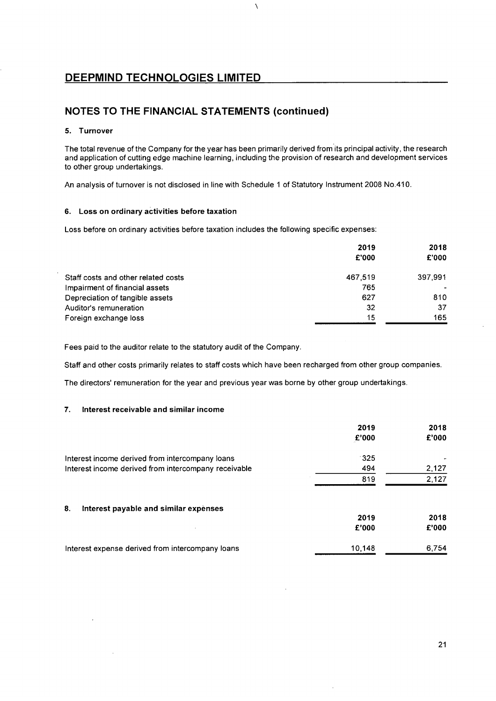### NOTES TO THE FINANCIAL STATEMENTS(continued)

### 5. Turnover

 $\lambda$ 

### 6. Loss on ordinary activities before taxation

| <b>DEEPMIND TECHNOLOGIES LIMITED</b>                                                                                                                                                                                                                                 |               |               |
|----------------------------------------------------------------------------------------------------------------------------------------------------------------------------------------------------------------------------------------------------------------------|---------------|---------------|
| <b>NOTES TO THE FINANCIAL STATEMENTS (continued)</b>                                                                                                                                                                                                                 |               |               |
| 5. Turnover                                                                                                                                                                                                                                                          |               |               |
| The total revenue of the Company for the year has been primarily derived from its principal activity, the research<br>and application of cutting edge machine learning, including the provision of research and development services<br>to other group undertakings. |               |               |
| An analysis of turnover is not disclosed in line with Schedule 1 of Statutory Instrument 2008 No.410.                                                                                                                                                                |               |               |
| 6. Loss on ordinary activities before taxation                                                                                                                                                                                                                       |               |               |
| Loss before on ordinary activities before taxation includes the following specific expenses:                                                                                                                                                                         |               |               |
|                                                                                                                                                                                                                                                                      | 2019<br>£'000 | 2018<br>£'000 |
| Staff costs and other related costs                                                                                                                                                                                                                                  | 467,519       | 397,991       |
| Impairment of financial assets                                                                                                                                                                                                                                       | 765           |               |
| Depreciation of tangible assets                                                                                                                                                                                                                                      | 627           | 810           |
| Auditor's remuneration<br>Foreign exchange loss                                                                                                                                                                                                                      | 32<br>15      | 37<br>165     |
| Fees paid to the auditor relate to the statutory audit of the Company.                                                                                                                                                                                               |               |               |
| Staff and other costs primarily relates to staff costs which have been recharged from other group companies.                                                                                                                                                         |               |               |
| The directors' remuneration for the year and previous year was borne by other group undertakings.                                                                                                                                                                    |               |               |
| 7.<br>Interest receivable and similar income                                                                                                                                                                                                                         |               |               |
|                                                                                                                                                                                                                                                                      | 2019          | 2018          |
|                                                                                                                                                                                                                                                                      | £'000         | £'000         |
| Interest income derived from intercompany loans                                                                                                                                                                                                                      | 1325∶         |               |
| Interest income derived from intercompany receivable                                                                                                                                                                                                                 | 494           | 2,127         |
|                                                                                                                                                                                                                                                                      | 819           | 2,127         |

### 7. Interest receivable and similar income

| Depreciation of tangible assets                                                                              | 627    | 810   |
|--------------------------------------------------------------------------------------------------------------|--------|-------|
| Auditor's remuneration                                                                                       | 32     | 37    |
| Foreign exchange loss                                                                                        | 15     | 165   |
| Fees paid to the auditor relate to the statutory audit of the Company.                                       |        |       |
| Staff and other costs primarily relates to staff costs which have been recharged from other group companies. |        |       |
| The directors' remuneration for the year and previous year was borne by other group undertakings.            |        |       |
| 7.<br>Interest receivable and similar income                                                                 |        |       |
|                                                                                                              | 2019   | 2018  |
|                                                                                                              | £'000  | £'000 |
| Interest income derived from intercompany loans                                                              | 325    |       |
| Interest income derived from intercompany receivable                                                         | 494    | 2,127 |
|                                                                                                              | 819    | 2,127 |
| Interest payable and similar expenses<br>8.                                                                  |        |       |
|                                                                                                              | 2019   | 2018  |
|                                                                                                              | £'000  | £'000 |
| Interest expense derived from intercompany loans                                                             | 10,148 | 6,754 |

21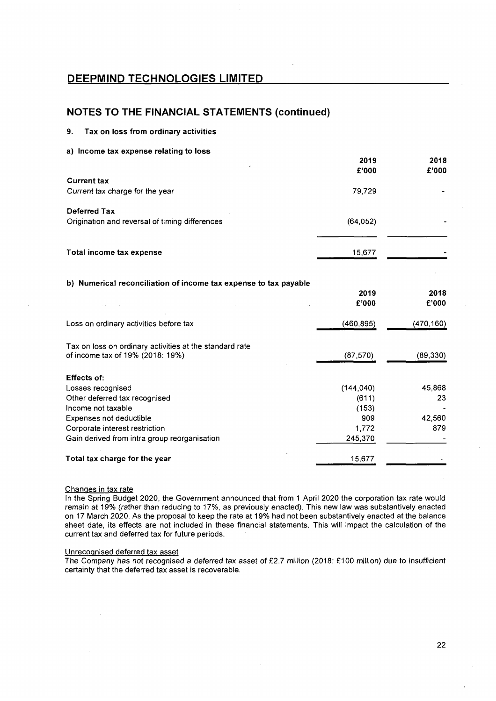### NOTES TO THE FINANCIAL STATEMENTS(continued)

### 9. Taxon loss from ordinary activities

| DEEPMIND TECHNOLOGIES LIMITED                                         |               |               |
|-----------------------------------------------------------------------|---------------|---------------|
|                                                                       |               |               |
| <b>NOTES TO THE FINANCIAL STATEMENTS (continued)</b>                  |               |               |
| Tax on loss from ordinary activities<br>9.                            |               |               |
| a) Income tax expense relating to loss                                |               |               |
|                                                                       | 2019<br>£'000 | 2018<br>£'000 |
| <b>Current tax</b><br>Current tax charge for the year                 | 79,729        |               |
|                                                                       |               |               |
| <b>Deferred Tax</b><br>Origination and reversal of timing differences | (64, 052)     |               |
|                                                                       |               |               |
| <b>Total income tax expense</b>                                       | 15,677        |               |
|                                                                       |               |               |
| b) Numerical reconciliation of income tax expense to tax payable      | 2019          | 2018          |
|                                                                       | £'000         | £'000         |
| Loss on ordinary activities before tax                                | (460, 895)    | (470, 160)    |
| Tax on loss on ordinary activities at the standard rate               |               |               |
| of income tax of 19% (2018: 19%)                                      | (87, 570)     | (89, 330)     |
| <b>Effects of:</b>                                                    |               |               |
| Losses recognised                                                     | (144, 040)    | 45,868        |
| Other deferred tax recognised                                         | (611)         | 23            |
| Income not taxable<br>Expenses not deductible                         | (153)<br>909  | 42,560        |
| Corporate interest restriction                                        | 1,772         | 879           |
| Gain derived from intra group reorganisation                          | 245,370       |               |
| Total tax charge for the year                                         | 15,677        |               |
|                                                                       |               |               |

| Total tax charge for the year                | 15.677    |        |
|----------------------------------------------|-----------|--------|
| Gain derived from intra group reorganisation | 245,370   |        |
| Corporate interest restriction               | 1.772     | 879    |
| Expenses not deductible                      | 909       | 42.560 |
| Income not taxable                           | (153)     |        |
| Other deferred tax recognised                | (611)     | 23     |
| Losses recognised                            | (144.040) | 45,868 |
| <b>Effects of:</b>                           |           |        |

### Changes in tax rate

In the Spring Budget 2020, the Government announced that from 1 April 2020 the corporation tax rate would remain at 19% (rather than reducing to 17%, as previously enacted). This new law was substantively enacted on 17 March 2020. As the proposal to keep the rate at 19% had not been substantively enacted at the balance sheet date, its effects are not included in these financial statements. This will impact the calculation of the current tax and deferred tax for future periods.

### Unrecognised deferred tax asset

The Company has not recognised a deferred tax asset of £2.7 million (2018: £100 million) due to insufficient certainty that the deferred tax asset is recoverable.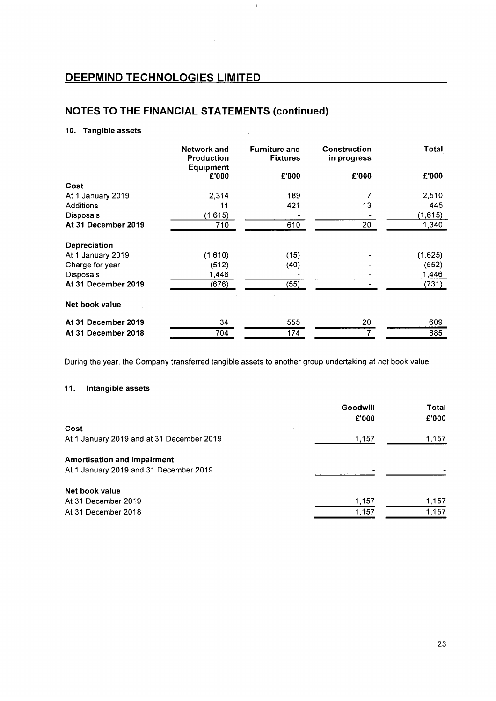# NOTES TO THE FINANCIAL STATEMENTS(continued)

### 10. Tangible assets

|                                                                                                                                                                                                      |                                  | $\mathbf{L}$                            |                             |                           |
|------------------------------------------------------------------------------------------------------------------------------------------------------------------------------------------------------|----------------------------------|-----------------------------------------|-----------------------------|---------------------------|
|                                                                                                                                                                                                      |                                  |                                         |                             |                           |
|                                                                                                                                                                                                      |                                  |                                         |                             |                           |
| DEEPMIND TECHNOLOGIES LIMITED                                                                                                                                                                        |                                  |                                         |                             |                           |
| <b>NOTES TO THE FINANCIAL STATEMENTS (continued)</b>                                                                                                                                                 |                                  |                                         |                             |                           |
| Tangible assets<br>10.                                                                                                                                                                               |                                  |                                         |                             |                           |
|                                                                                                                                                                                                      |                                  |                                         |                             |                           |
|                                                                                                                                                                                                      | <b>Network and</b><br>Production | <b>Furniture and</b><br><b>Fixtures</b> | Construction<br>in progress | <b>Total</b>              |
|                                                                                                                                                                                                      | <b>Equipment</b><br>£'000        | £'000                                   | £'000                       | £'000                     |
| Cost<br>At 1 January 2019<br>Additions                                                                                                                                                               | 2,314<br>11                      | 189<br>421                              | $\overline{7}$<br>13        | 2,510<br>445              |
| At 31 December 2019                                                                                                                                                                                  | (1,615)<br>710                   | 610                                     | 20                          | (1,615)<br>1,340          |
| Disposals<br>Depreciation                                                                                                                                                                            |                                  |                                         |                             |                           |
| At 1 January 2019<br>Charge for year<br>Disposals                                                                                                                                                    | (1,610)<br>(512)<br>1,446        | (15)<br>(40)<br>$\tilde{\phantom{a}}$   |                             | (1,625)<br>(552)<br>1,446 |
| At 31 December 2019                                                                                                                                                                                  | (676)                            | (55)                                    |                             | (731)                     |
|                                                                                                                                                                                                      |                                  |                                         |                             |                           |
|                                                                                                                                                                                                      | 34<br>704                        | 555<br>174                              | 20<br>$\overline{7}$        | 609<br>885                |
|                                                                                                                                                                                                      |                                  |                                         |                             |                           |
| Net book value<br>At 31 December 2019<br>At 31 December 2018<br>During the year, the Company transferred tangible assets to another group undertaking at net book value.<br>11.<br>Intangible assets |                                  |                                         |                             |                           |
|                                                                                                                                                                                                      |                                  |                                         | Goodwill<br>£'000           | <b>Total</b><br>£'000     |
| Cost<br>At 1 January 2019 and at 31 December 2019                                                                                                                                                    |                                  |                                         | 1,157                       | 1,157                     |

### 11. Intangible assets

| Depreciation                                                                                                    |         |      |                |              |
|-----------------------------------------------------------------------------------------------------------------|---------|------|----------------|--------------|
| At 1 January 2019                                                                                               | (1,610) | (15) |                | (1,625)      |
| Charge for year                                                                                                 | (512)   | (40) |                | (552)        |
| Disposals                                                                                                       | 1,446   |      |                | 1,446        |
| At 31 December 2019                                                                                             | (676)   | (55) |                | (731)        |
| Net book value                                                                                                  |         |      |                |              |
| At 31 December 2019                                                                                             | 34      | 555  | 20             | 609          |
| At 31 December 2018                                                                                             | 704     | 174  | $\overline{7}$ | 885          |
| During the year, the Company transferred tangible assets to another group undertaking at net book value.<br>11. |         |      |                |              |
| Intangible assets                                                                                               |         |      |                |              |
|                                                                                                                 |         |      | Goodwill       | <b>Total</b> |
|                                                                                                                 |         |      | £'000          | £'000        |
| Cost                                                                                                            |         |      |                |              |
| At 1 January 2019 and at 31 December 2019                                                                       |         |      | 1,157          | 1,157        |
| <b>Amortisation and impairment</b>                                                                              |         |      |                |              |
| At 1 January 2019 and 31 December 2019                                                                          |         |      |                |              |
| Net book value                                                                                                  |         |      |                |              |
|                                                                                                                 |         |      |                |              |
| At 31 December 2019                                                                                             |         |      | 1,157          | 1,157        |
| At 31 December 2018                                                                                             |         |      | 1,157          | 1,157        |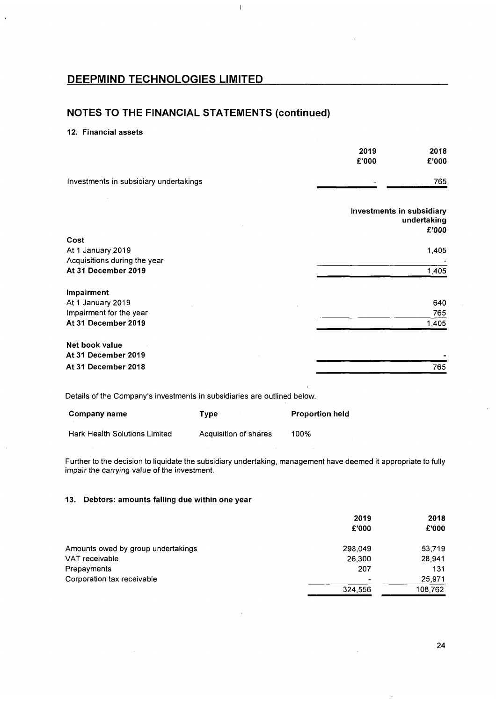# NOTES TO THE FINANCIAL STATEMENTS(continued)

### 12. Financial assets

| DEEPMIND TECHNOLOGIES LIMITED                        |       |                           |
|------------------------------------------------------|-------|---------------------------|
|                                                      |       |                           |
| <b>NOTES TO THE FINANCIAL STATEMENTS (continued)</b> |       |                           |
| 12. Financial assets                                 |       |                           |
|                                                      | 2019  | 2018                      |
|                                                      | £'000 | £'000                     |
| Investments in subsidiary undertakings               |       | 765                       |
|                                                      |       | Investments in subsidiary |
|                                                      |       | undertaking<br>£'000      |
| Cost                                                 |       |                           |
| At 1 January 2019<br>Acquisitions during the year    |       | 1,405                     |
| At 31 December 2019                                  |       | 1,405                     |
| Impairment                                           |       |                           |
| At 1 January 2019<br>Impairment for the year         |       | 640<br>765                |
| At 31 December 2019                                  |       | 1,405                     |
| Net book value<br>At 31 December 2019                |       |                           |
| At 31 December 2018                                  |       | 765                       |
|                                                      |       |                           |

| Company name                         | Tvpe                  | <b>Proportion held</b> |
|--------------------------------------|-----------------------|------------------------|
| <b>Hark Health Solutions Limited</b> | Acquisition of shares | 100%                   |

### 13. Debtors: amounts failing due within one year

| Impairment for the year<br>At 31 December 2019                                                                                                                  |                       |                        | 765<br>1,405  |
|-----------------------------------------------------------------------------------------------------------------------------------------------------------------|-----------------------|------------------------|---------------|
| Net book value<br>At 31 December 2019                                                                                                                           |                       |                        |               |
| At 31 December 2018                                                                                                                                             |                       |                        | 765           |
| Details of the Company's investments in subsidiaries are outlined below.                                                                                        |                       |                        |               |
| Company name                                                                                                                                                    | <b>Type</b>           | <b>Proportion held</b> |               |
| <b>Hark Health Solutions Limited</b>                                                                                                                            | Acquisition of shares | 100%                   |               |
| Further to the decision to liquidate the subsidiary undertaking, management have deemed it appropriate to fully<br>impair the carrying value of the investment. |                       |                        |               |
| Debtors: amounts falling due within one year<br>13.                                                                                                             |                       |                        |               |
|                                                                                                                                                                 |                       | 2019<br>£'000          | 2018<br>£'000 |
| Amounts owed by group undertakings                                                                                                                              |                       | 298,049                | 53,719        |
| VAT receivable                                                                                                                                                  |                       | 26,300                 | 28,941        |
| Prepayments                                                                                                                                                     |                       | 207                    | 131           |
| Corporation tax receivable                                                                                                                                      |                       |                        | 25,971        |
|                                                                                                                                                                 |                       | 324,556                | 108,762       |
|                                                                                                                                                                 |                       |                        |               |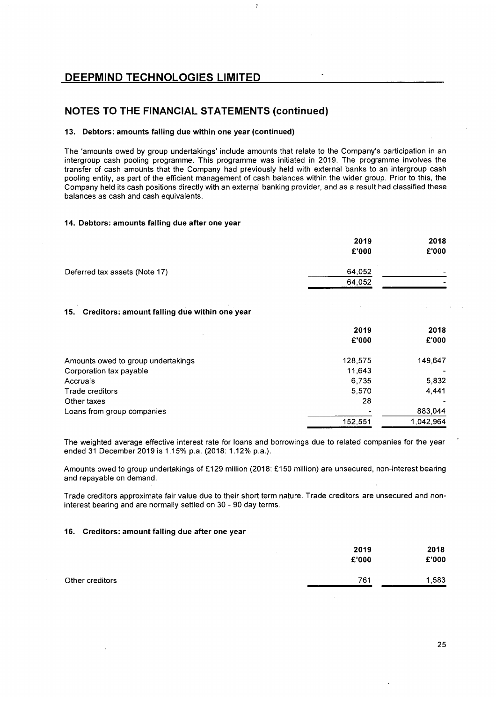### NOTES TO THE FINANCIAL STATEMENTS(continued)

### 13. Debtors: amounts falling due within one year (continued)

 $\theta$ 

### 14. Debtors: amounts falling due after one year

| DEEPMIND TECHNOLOGIES LIMITED                                                                                                                                                                                                                                                                                                                                                                                                                                                                                                                                                                                |        |       |
|--------------------------------------------------------------------------------------------------------------------------------------------------------------------------------------------------------------------------------------------------------------------------------------------------------------------------------------------------------------------------------------------------------------------------------------------------------------------------------------------------------------------------------------------------------------------------------------------------------------|--------|-------|
|                                                                                                                                                                                                                                                                                                                                                                                                                                                                                                                                                                                                              |        |       |
|                                                                                                                                                                                                                                                                                                                                                                                                                                                                                                                                                                                                              |        |       |
| <b>NOTES TO THE FINANCIAL STATEMENTS (continued)</b>                                                                                                                                                                                                                                                                                                                                                                                                                                                                                                                                                         |        |       |
| 13. Debtors: amounts falling due within one year (continued)                                                                                                                                                                                                                                                                                                                                                                                                                                                                                                                                                 |        |       |
| The 'amounts owed by group undertakings' include amounts that relate to the Company's participation in an<br>intergroup cash pooling programme. This programme was initiated in 2019. The programme involves the<br>transfer of cash amounts that the Company had previously held with external banks to an intergroup cash<br>pooling entity, as part of the efficient management of cash balances within the wider group. Prior to this, the<br>Company held its cash positions directly with an external banking provider, and as a result had classified these<br>balances as cash and cash equivalents. |        |       |
| 14. Debtors: amounts falling due after one year                                                                                                                                                                                                                                                                                                                                                                                                                                                                                                                                                              |        |       |
|                                                                                                                                                                                                                                                                                                                                                                                                                                                                                                                                                                                                              | 2019   | 2018  |
|                                                                                                                                                                                                                                                                                                                                                                                                                                                                                                                                                                                                              | £'000  | £'000 |
| Deferred tax assets (Note 17)                                                                                                                                                                                                                                                                                                                                                                                                                                                                                                                                                                                | 64,052 |       |
|                                                                                                                                                                                                                                                                                                                                                                                                                                                                                                                                                                                                              | 64,052 |       |
|                                                                                                                                                                                                                                                                                                                                                                                                                                                                                                                                                                                                              |        |       |

### 15. Creditors: amount falling due within one year

| The 'amounts owed by group undertakings' include amounts that relate to the Company's participation in an<br>intergroup cash pooling programme. This programme was initiated in 2019. The programme involves the<br>transfer of cash amounts that the Company had previously held with external banks to an intergroup cash<br>pooling entity, as part of the efficient management of cash balances within the wider group. Prior to this, the<br>Company held its cash positions directly with an external banking provider, and as a result had classified these<br>balances as cash and cash equivalents. |                      |                      |
|--------------------------------------------------------------------------------------------------------------------------------------------------------------------------------------------------------------------------------------------------------------------------------------------------------------------------------------------------------------------------------------------------------------------------------------------------------------------------------------------------------------------------------------------------------------------------------------------------------------|----------------------|----------------------|
| 14. Debtors: amounts falling due after one year                                                                                                                                                                                                                                                                                                                                                                                                                                                                                                                                                              |                      |                      |
|                                                                                                                                                                                                                                                                                                                                                                                                                                                                                                                                                                                                              | 2019<br>£'000        | 2018<br>£'000        |
| Deferred tax assets (Note 17)                                                                                                                                                                                                                                                                                                                                                                                                                                                                                                                                                                                | 64,052<br>64,052     |                      |
| 15. Creditors: amount falling due within one year                                                                                                                                                                                                                                                                                                                                                                                                                                                                                                                                                            |                      |                      |
|                                                                                                                                                                                                                                                                                                                                                                                                                                                                                                                                                                                                              | 2019<br>£'000        | 2018<br>£'000        |
| Amounts owed to group undertakings<br>Corporation tax payable                                                                                                                                                                                                                                                                                                                                                                                                                                                                                                                                                | 128,575<br>11,643    | 149,647              |
| Accruals<br>Trade creditors<br>Other taxes                                                                                                                                                                                                                                                                                                                                                                                                                                                                                                                                                                   | 6,735<br>5,570<br>28 | 5,832<br>4,441       |
| Loans from group companies                                                                                                                                                                                                                                                                                                                                                                                                                                                                                                                                                                                   | 152,551              | 883,044<br>1,042,964 |
| The weighted average effective interest rate for loans and borrowings due to related companies for the year<br>ended 31 December 2019 is 1.15% p.a. (2018: 1.12% p.a.).                                                                                                                                                                                                                                                                                                                                                                                                                                      |                      |                      |
| Amounts owed to group undertakings of £129 million (2018: £150 million) are unsecured, non-interest bearing<br>and repayable on demand.                                                                                                                                                                                                                                                                                                                                                                                                                                                                      |                      |                      |
| Trade creditors approximate fair value due to their short term nature. Trade creditors are unsecured and non-<br>interest bearing and are normally settled on 30 - 90 day terms.                                                                                                                                                                                                                                                                                                                                                                                                                             |                      |                      |
| 16. Creditors: amount falling due after one year                                                                                                                                                                                                                                                                                                                                                                                                                                                                                                                                                             |                      |                      |
|                                                                                                                                                                                                                                                                                                                                                                                                                                                                                                                                                                                                              | 2019<br>£'000        | 2018<br>£'000        |
| Other creditors                                                                                                                                                                                                                                                                                                                                                                                                                                                                                                                                                                                              | 761                  | 1,583                |

### 16. Creditors: amount falling due after one year

|                 | 2019<br>£'000 | 2018<br>£'000 |
|-----------------|---------------|---------------|
| Other creditors | 761           | 1,583         |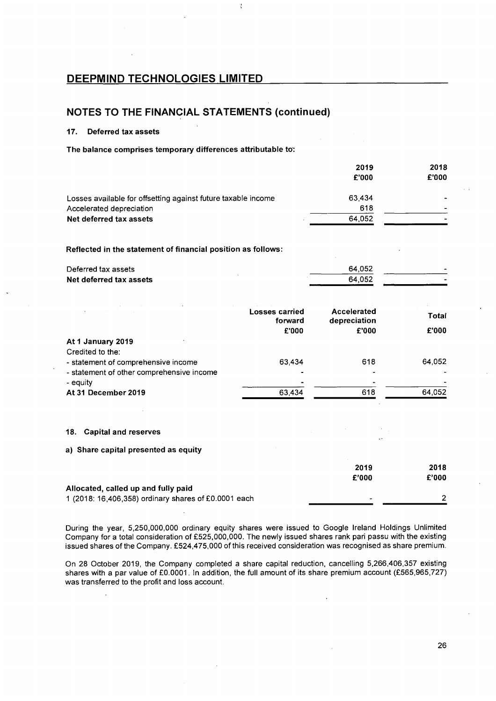### NOTES TO THE FINANCIAL STATEMENTS (continued)

### 17. Deferred tax assets

### The balance comprises temporary differences attributable to:

| DEEPMIND TECHNOLOGIES LIMITED                                 |        |       |
|---------------------------------------------------------------|--------|-------|
|                                                               |        |       |
| <b>NOTES TO THE FINANCIAL STATEMENTS (continued)</b>          |        |       |
| <b>Deferred tax assets</b><br>17.                             |        |       |
| The balance comprises temporary differences attributable to:  |        |       |
|                                                               | 2019   | 2018  |
|                                                               | £'000  | £'000 |
| Losses available for offsetting against future taxable income | 63,434 |       |
| Accelerated depreciation                                      | 618    |       |
| Net deferred tax assets                                       | 64,052 |       |
| Reflected in the statement of financial position as follows:  |        |       |
| Deferred tax assets                                           | 64,052 |       |
| Net deferred tax assets                                       | 64,052 |       |

### Reflected in the statement of financial position as follows:

| Deferred tax assets     | 64.052 |  |
|-------------------------|--------|--|
| Net deferred tax assets | 64.052 |  |

|                                                                                             | ₹                     |                       |              |
|---------------------------------------------------------------------------------------------|-----------------------|-----------------------|--------------|
|                                                                                             |                       |                       |              |
|                                                                                             |                       |                       |              |
|                                                                                             |                       |                       |              |
|                                                                                             |                       |                       |              |
| DEEPMIND TECHNOLOGIES LIMITED                                                               |                       |                       |              |
|                                                                                             |                       |                       |              |
| <b>NOTES TO THE FINANCIAL STATEMENTS (continued)</b>                                        |                       |                       |              |
| <b>Deferred tax assets</b><br>17.                                                           |                       |                       |              |
| The balance comprises temporary differences attributable to:                                |                       |                       |              |
|                                                                                             |                       | 2019                  | 2018         |
|                                                                                             |                       | £'000                 | £'000        |
|                                                                                             |                       |                       |              |
| Losses available for offsetting against future taxable income<br>Accelerated depreciation   |                       | 63,434<br>618         |              |
| Net deferred tax assets                                                                     |                       | 64,052                |              |
|                                                                                             |                       |                       |              |
| Reflected in the statement of financial position as follows:                                |                       |                       |              |
| Deferred tax assets                                                                         |                       | 64,052                |              |
| Net deferred tax assets                                                                     |                       | 64,052                |              |
|                                                                                             |                       |                       |              |
|                                                                                             | <b>Losses carried</b> | Accelerated           | <b>Total</b> |
|                                                                                             | forward<br>£'000      | depreciation<br>£'000 | £'000        |
| At 1 January 2019                                                                           |                       |                       |              |
| Credited to the:<br>- statement of comprehensive income                                     | 63,434                | 618                   | 64,052       |
| - statement of other comprehensive income                                                   |                       |                       |              |
| - equity<br>At 31 December 2019                                                             | 63,434                | 618                   | 64,052       |
|                                                                                             |                       |                       |              |
|                                                                                             |                       |                       |              |
| 18. Capital and reserves                                                                    |                       |                       |              |
| a) Share capital presented as equity                                                        |                       |                       |              |
|                                                                                             |                       | 2019                  | 2018         |
|                                                                                             |                       | £'000                 | £'000        |
| Allocated, called up and fully paid<br>1 (2018: 16,406,358) ordinary shares of £0.0001 each |                       |                       | 2            |
|                                                                                             |                       |                       |              |

### 18. Capital and reserves

### a) Share capital presented as equity

|                                                      | 2019                     | 2018  |
|------------------------------------------------------|--------------------------|-------|
|                                                      | £'000                    | £'000 |
| Allocated, called up and fully paid                  |                          |       |
| 1 (2018: 16,406,358) ordinary shares of £0.0001 each | $\overline{\phantom{a}}$ |       |

During the year, 5,250,000,000 ordinary equity shares were issued to Google Ireland Holdings Unlimited Company for a total consideration of £525,000,000. The newly issued shares rank pari passu with the existing issued shares of the Company. £524,475,000 of this received consideration was recognised as share premium.

On 28 October 2019, the Company completed a share capital reduction, cancelling 5,266,406,357 existing shares with a par value of £0.0001. In addition, the full amount of its share premium account (£565,965,727) was transferred to the profit and loss account.